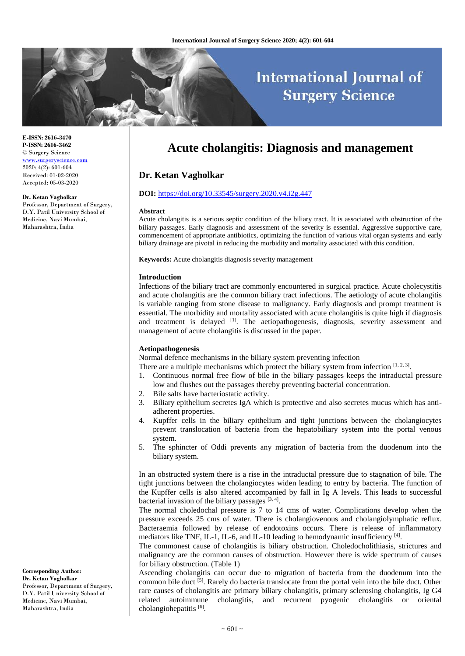# **International Journal of Surgery Science**

**E-ISSN: 2616-3470 P-ISSN: 2616-3462** © Surgery Science [www.surgeryscience.com](http://www.surgeryscience.com/) 2020; 4(2): 601-604 Received: 01-02-2020 Accepted: 05-03-2020

#### **Dr. Ketan Vagholkar**

Professor, Department of Surgery, D.Y. Patil University School of Medicine, Navi Mumbai, Maharashtra, India

# **Acute cholangitis: Diagnosis and management**

# **Dr. Ketan Vagholkar**

#### **DOI:** <https://doi.org/10.33545/surgery.2020.v4.i2g.447>

#### **Abstract**

Acute cholangitis is a serious septic condition of the biliary tract. It is associated with obstruction of the biliary passages. Early diagnosis and assessment of the severity is essential. Aggressive supportive care, commencement of appropriate antibiotics, optimizing the function of various vital organ systems and early biliary drainage are pivotal in reducing the morbidity and mortality associated with this condition.

**Keywords:** Acute cholangitis diagnosis severity management

#### **Introduction**

Infections of the biliary tract are commonly encountered in surgical practice. Acute cholecystitis and acute cholangitis are the common biliary tract infections. The aetiology of acute cholangitis is variable ranging from stone disease to malignancy. Early diagnosis and prompt treatment is essential. The morbidity and mortality associated with acute cholangitis is quite high if diagnosis and treatment is delayed [1]. The aetiopathogenesis, diagnosis, severity assessment and management of acute cholangitis is discussed in the paper.

#### **Aetiopathogenesis**

Normal defence mechanisms in the biliary system preventing infection

- There are a multiple mechanisms which protect the biliary system from infection  $[1, 2, 3]$ .
- 1. Continuous normal free flow of bile in the biliary passages keeps the intraductal pressure low and flushes out the passages thereby preventing bacterial concentration.
- 2. Bile salts have bacteriostatic activity.
- 3. Biliary epithelium secretes IgA which is protective and also secretes mucus which has antiadherent properties.
- 4. Kupffer cells in the biliary epithelium and tight junctions between the cholangiocytes prevent translocation of bacteria from the hepatobiliary system into the portal venous system.
- 5. The sphincter of Oddi prevents any migration of bacteria from the duodenum into the biliary system.

In an obstructed system there is a rise in the intraductal pressure due to stagnation of bile. The tight junctions between the cholangiocytes widen leading to entry by bacteria. The function of the Kupffer cells is also altered accompanied by fall in Ig A levels. This leads to successful bacterial invasion of the biliary passages  $[3, 4]$ .

The normal choledochal pressure is 7 to 14 cms of water. Complications develop when the pressure exceeds 25 cms of water. There is cholangiovenous and cholangiolymphatic reflux. Bacteraemia followed by release of endotoxins occurs. There is release of inflammatory mediators like TNF, IL-1, IL-6, and IL-10 leading to hemodynamic insufficiency [4].

The commonest cause of cholangitis is biliary obstruction. Choledocholithiasis, strictures and malignancy are the common causes of obstruction. However there is wide spectrum of causes for biliary obstruction. (Table 1)

Ascending cholangitis can occur due to migration of bacteria from the duodenum into the common bile duct <sup>[5]</sup>. Rarely do bacteria translocate from the portal vein into the bile duct. Other rare causes of cholangitis are primary biliary cholangitis, primary sclerosing cholangitis, Ig G4 related autoimmune cholangitis, and recurrent pyogenic cholangitis or oriental cholangiohepatitis<sup>[6]</sup>.

**Corresponding Author: Dr. Ketan Vagholkar** Professor, Department of Surgery, D.Y. Patil University School of Medicine, Navi Mumbai, Maharashtra, India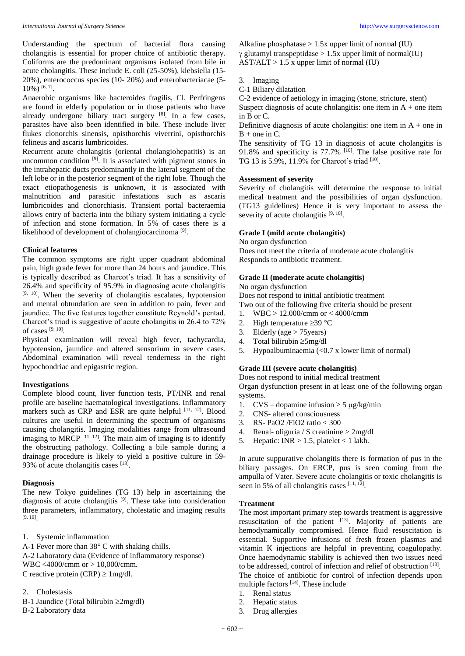Understanding the spectrum of bacterial flora causing cholangitis is essential for proper choice of antibiotic therapy. Coliforms are the predominant organisms isolated from bile in acute cholangitis. These include E. coli (25-50%), klebsiella (15- 20%), enterococcus species (10- 20%) and enterobacteriacae (5-  $10\%$ ) <sup>[6, 7]</sup>.

Anaerobic organisms like bacteroides fragilis, Cl. Perfringens are found in elderly population or in those patients who have already undergone biliary tract surgery  $[8]$ . In a few cases, parasites have also been identified in bile. These include liver flukes clonorchis sinensis, opisthorchis viverrini, opisthorchis felineus and ascaris lumbricoides.

Recurrent acute cholangitis (oriental cholangiohepatitis) is an uncommon condition [9]. It is associated with pigment stones in the intrahepatic ducts predominantly in the lateral segment of the left lobe or in the posterior segment of the right lobe. Though the exact etiopathogenesis is unknown, it is associated with malnutrition and parasitic infestations such as ascaris lumbricoides and clonorchiasis. Transient portal bacteraemia allows entry of bacteria into the biliary system initiating a cycle of infection and stone formation. In 5% of cases there is a likelihood of development of cholangiocarcinoma<sup>[9]</sup>.

#### **Clinical features**

The common symptoms are right upper quadrant abdominal pain, high grade fever for more than 24 hours and jaundice. This is typically described as Charcot's triad. It has a sensitivity of 26.4% and specificity of 95.9% in diagnosing acute cholangitis [9, 10]. When the severity of cholangitis escalates, hypotension and mental obtundation are seen in addition to pain, fever and jaundice. The five features together constitute Reynold's pentad. Charcot's triad is suggestive of acute cholangitis in 26.4 to 72% of cases [9, 10] .

Physical examination will reveal high fever, tachycardia, hypotension, jaundice and altered sensorium in severe cases. Abdominal examination will reveal tenderness in the right hypochondriac and epigastric region.

#### **Investigations**

Complete blood count, liver function tests, PT/INR and renal profile are baseline haematological investigations. Inflammatory markers such as CRP and ESR are quite helpful [11, 12]. Blood cultures are useful in determining the spectrum of organisms causing cholangitis. Imaging modalities range from ultrasound imaging to MRCP  $[11, 12]$ . The main aim of imaging is to identify the obstructing pathology. Collecting a bile sample during a drainage procedure is likely to yield a positive culture in 59- 93% of acute cholangitis cases [13].

#### **Diagnosis**

The new Tokyo guidelines (TG 13) help in ascertaining the diagnosis of acute cholangitis<sup>[9]</sup>. These take into consideration three parameters, inflammatory, cholestatic and imaging results [9, 10] .

1. Systemic inflammation

A-1 Fever more than  $38^{\circ}$  C with shaking chills. A-2 Laboratory data (Evidence of inflammatory response) WBC <4000/cmm or > 10,000/cmm. C reactive protein (CRP)  $\geq 1$ mg/dl.

#### 2. Cholestasis

B-1 Jaundice (Total bilirubin  $\geq 2mg/dl$ )

B-2 Laboratory data

Alkaline phosphatase > 1.5x upper limit of normal (IU)  $\gamma$  glutamyl transpeptidase > 1.5x upper limit of normal(IU)  $AST/ALT > 1.5$  x upper limit of normal (IU)

3. Imaging

C-1 Biliary dilatation

C-2 evidence of aetiology in imaging (stone, stricture, stent) Suspect diagnosis of acute cholangitis: one item in  $A +$  one item in B or C.

Definitive diagnosis of acute cholangitis: one item in  $A +$  one in  $B + \text{one in } C$ .

The sensitivity of TG 13 in diagnosis of acute cholangitis is 91.8% and specificity is  $77.7\%$  <sup>[10]</sup>. The false positive rate for TG 13 is 5.9%, 11.9% for Charcot's triad [10] .

#### **Assessment of severity**

Severity of cholangitis will determine the response to initial medical treatment and the possibilities of organ dysfunction. (TG13 guidelines) Hence it is very important to assess the severity of acute cholangitis [9, 10].

#### **Grade I (mild acute cholangitis)**

No organ dysfunction

Does not meet the criteria of moderate acute cholangitis Responds to antibiotic treatment.

#### **Grade II (moderate acute cholangitis)**

No organ dysfunction

Does not respond to initial antibiotic treatment

Two out of the following five criteria should be present

- 1. WBC > 12.000/cmm or < 4000/cmm
- 2. High temperature  $\geq$ 39 °C
- 3. Elderly (age  $> 75$ years)
- 4. Total bilirubin  $\geq 5$ mg/dl
- 5. Hypoalbuminaemia (<0.7 x lower limit of normal)

#### **Grade III (severe acute cholangitis)**

Does not respond to initial medical treatment

Organ dysfunction present in at least one of the following organ systems.

- 1.  $CVS$  dopamine infusion  $\geq 5$  µg/kg/min
- 2. CNS- altered consciousness
- 3. RS- PaO2 /FiO2 ratio < 300
- 4. Renal- oliguria / S creatinine > 2mg/dl
- 5. Hepatic:  $INR > 1.5$ , platelet < 1 lakh.

In acute suppurative cholangitis there is formation of pus in the biliary passages. On ERCP, pus is seen coming from the ampulla of Vater. Severe acute cholangitis or toxic cholangitis is seen in 5% of all cholangitis cases [11, 12].

#### **Treatment**

The most important primary step towards treatment is aggressive resuscitation of the patient  $[13]$ . Majority of patients are hemodynamically compromised. Hence fluid resuscitation is essential. Supportive infusions of fresh frozen plasmas and vitamin K injections are helpful in preventing coagulopathy. Once haemodynamic stability is achieved then two issues need to be addressed, control of infection and relief of obstruction [13]. The choice of antibiotic for control of infection depends upon multiple factors [14]. These include

- 1. Renal status
- 2. Hepatic status
- 3. Drug allergies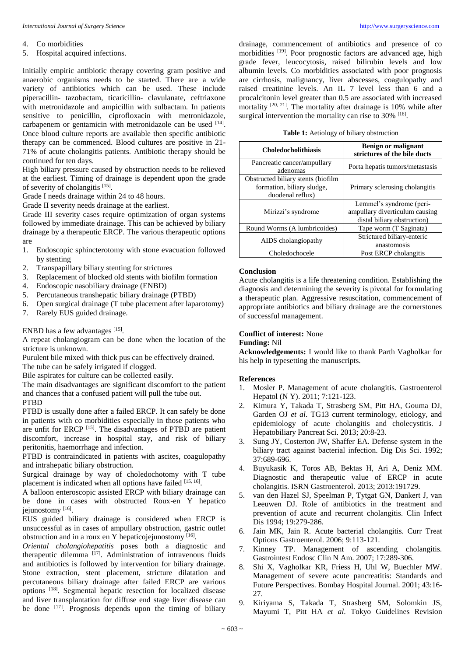#### 4. Co morbidities

5. Hospital acquired infections.

Initially empiric antibiotic therapy covering gram positive and anaerobic organisms needs to be started. There are a wide variety of antibiotics which can be used. These include piperacillin- tazobactam, ticaricillin- clavulanate, ceftriaxone with metronidazole and ampicillin with sulbactam. In patients sensitive to penicillin, ciprofloxacin with metronidazole, carbapenem or gentamicin with metronidazole can be used [14]. Once blood culture reports are available then specific antibiotic therapy can be commenced. Blood cultures are positive in 21- 71% of acute cholangitis patients. Antibiotic therapy should be continued for ten days.

High biliary pressure caused by obstruction needs to be relieved at the earliest. Timing of drainage is dependent upon the grade of severity of cholangitis [15].

Grade I needs drainage within 24 to 48 hours.

Grade II severity needs drainage at the earliest.

Grade III severity cases require optimization of organ systems followed by immediate drainage. This can be achieved by biliary drainage by a therapeutic ERCP. The various therapeutic options are

- 1. Endoscopic sphincterotomy with stone evacuation followed by stenting
- 2. Transpapillary biliary stenting for strictures
- 3. Replacement of blocked old stents with biofilm formation
- 4. Endoscopic nasobiliary drainage (ENBD)
- 5. Percutaneous transhepatic biliary drainage (PTBD)
- 6. Open surgical drainage (T tube placement after laparotomy)
- 7. Rarely EUS guided drainage.

ENBD has a few advantages [15].

A repeat cholangiogram can be done when the location of the stricture is unknown.

Purulent bile mixed with thick pus can be effectively drained.

The tube can be safely irrigated if clogged.

Bile aspirates for culture can be collected easily.

The main disadvantages are significant discomfort to the patient and chances that a confused patient will pull the tube out.

#### PTBD

PTBD is usually done after a failed ERCP. It can safely be done in patients with co morbidities especially in those patients who are unfit for ERCP<sup>[15]</sup>. The disadvantages of PTBD are patient discomfort, increase in hospital stay, and risk of biliary peritonitis, haemorrhage and infection.

PTBD is contraindicated in patients with ascites, coagulopathy and intrahepatic biliary obstruction.

Surgical drainage by way of choledochotomy with T tube placement is indicated when all options have failed [15, 16].

A balloon enteroscopic assisted ERCP with biliary drainage can be done in cases with obstructed Roux-en Y hepatico jejunostomy [16].

EUS guided biliary drainage is considered when ERCP is unsuccessful as in cases of ampullary obstruction, gastric outlet obstruction and in a roux en Y hepaticojejunostomy [16].

*Oriental cholangiohepatitis* poses both a diagnostic and therapeutic dilemma<sup>[17]</sup>. Administration of intravenous fluids and antibiotics is followed by intervention for biliary drainage. Stone extraction, stent placement, stricture dilatation and percutaneous biliary drainage after failed ERCP are various options [18] . Segmental hepatic resection for localized disease and liver transplantation for diffuse end stage liver disease can be done <sup>[17]</sup>. Prognosis depends upon the timing of biliary drainage, commencement of antibiotics and presence of co morbidities <sup>[19]</sup>. Poor prognostic factors are advanced age, high grade fever, leucocytosis, raised bilirubin levels and low albumin levels. Co morbidities associated with poor prognosis are cirrhosis, malignancy, liver abscesses, coagulopathy and raised creatinine levels. An IL 7 level less than 6 and a procalcitonin level greater than 0.5 are associated with increased mortality  $[20, 21]$ . The mortality after drainage is 10% while after surgical intervention the mortality can rise to  $30\%$  <sup>[16]</sup>.

|  |  |  | Table 1: Aetiology of biliary obstruction |
|--|--|--|-------------------------------------------|
|--|--|--|-------------------------------------------|

| <b>Choledocholithiasis</b>                                                           | <b>Benign or malignant</b><br>strictures of the bile ducts                                |  |  |
|--------------------------------------------------------------------------------------|-------------------------------------------------------------------------------------------|--|--|
| Pancreatic cancer/ampullary<br>adenomas                                              | Porta hepatis tumors/metastasis                                                           |  |  |
| Obstructed biliary stents (biofilm<br>formation, biliary sludge,<br>duodenal reflux) | Primary sclerosing cholangitis                                                            |  |  |
| Mirizzi's syndrome                                                                   | Lemmel's syndrome (peri-<br>ampullary diverticulum causing<br>distal biliary obstruction) |  |  |
| Round Worms (A lumbricoides)                                                         | Tape worm (T Saginata)                                                                    |  |  |
| AIDS cholangiopathy                                                                  | Strictured biliary-enteric<br>anastomosis                                                 |  |  |
| Choledochocele                                                                       | Post ERCP cholangitis                                                                     |  |  |

# **Conclusion**

Acute cholangitis is a life threatening condition. Establishing the diagnosis and determining the severity is pivotal for formulating a therapeutic plan. Aggressive resuscitation, commencement of appropriate antibiotics and biliary drainage are the cornerstones of successful management.

# **Conflict of interest:** None

### **Funding:** Nil

**Acknowledgements:** I would like to thank Parth Vagholkar for his help in typesetting the manuscripts.

#### **References**

- 1. Mosler P. Management of acute cholangitis. Gastroenterol Hepatol (N Y). 2011; 7:121-123.
- 2. Kimura Y, Takada T, Strasberg SM, Pitt HA, Gouma DJ, Garden OJ *et al*. TG13 current terminology, etiology, and epidemiology of acute cholangitis and cholecystitis. J Hepatobiliary Pancreat Sci. 2013; 20:8-23.
- Sung JY, Costerton JW, Shaffer EA. Defense system in the biliary tract against bacterial infection. Dig Dis Sci. 1992; 37:689-696.
- 4. Buyukasik K, Toros AB, Bektas H, Ari A, Deniz MM. Diagnostic and therapeutic value of ERCP in acute cholangitis. ISRN Gastroenterol. 2013; 2013:191729.
- 5. van den Hazel SJ, Speelman P, Tytgat GN, Dankert J, van Leeuwen DJ. Role of antibiotics in the treatment and prevention of acute and recurrent cholangitis. Clin Infect Dis 1994; 19:279-286.
- 6. Jain MK, Jain R. Acute bacterial cholangitis. Curr Treat Options Gastroenterol. 2006; 9:113-121.
- 7. Kinney TP. Management of ascending cholangitis. Gastrointest Endosc Clin N Am. 2007; 17:289-306.
- 8. Shi X, Vagholkar KR, Friess H, Uhl W, Buechler MW. Management of severe acute pancreatitis: Standards and Future Perspectives. Bombay Hospital Journal. 2001; 43:16- 27.
- 9. Kiriyama S, Takada T, Strasberg SM, Solomkin JS, Mayumi T, Pitt HA *et al*. Tokyo Guidelines Revision